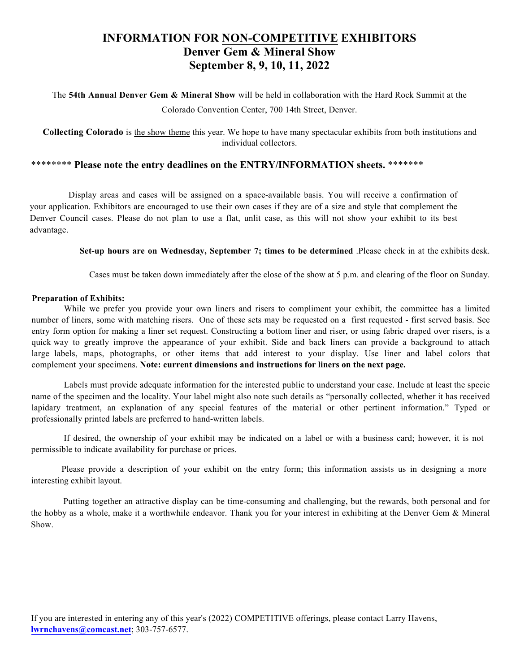# **INFORMATION FOR NON-COMPETITIVE EXHIBITORS Denver Gem & Mineral Show September 8, 9, 10, 11, 2022**

The **54th Annual Denver Gem & Mineral Show** will be held in collaboration with the Hard Rock Summit at the Colorado Convention Center, 700 14th Street, Denver.

**Collecting Colorado** is the show theme this year. We hope to have many spectacular exhibits from both institutions and individual collectors.

### \*\*\*\*\*\*\*\* **Please note the entry deadlines on the ENTRY/INFORMATION sheets.** \*\*\*\*\*\*\*

 Display areas and cases will be assigned on a space-available basis. You will receive a confirmation of your application. Exhibitors are encouraged to use their own cases if they are of a size and style that complement the Denver Council cases. Please do not plan to use a flat, unlit case, as this will not show your exhibit to its best advantage.

**Set-up hours are on Wednesday, September 7; times to be determined** .Please check in at the exhibits desk.

Cases must be taken down immediately after the close of the show at 5 p.m. and clearing of the floor on Sunday.

#### **Preparation of Exhibits:**

While we prefer you provide your own liners and risers to compliment your exhibit, the committee has a limited number of liners, some with matching risers. One of these sets may be requested on a first requested - first served basis. See entry form option for making a liner set request. Constructing a bottom liner and riser, or using fabric draped over risers, is a quick way to greatly improve the appearance of your exhibit. Side and back liners can provide a background to attach large labels, maps, photographs, or other items that add interest to your display. Use liner and label colors that complement your specimens. **Note: current dimensions and instructions for liners on the next page.** 

Labels must provide adequate information for the interested public to understand your case. Include at least the specie name of the specimen and the locality. Your label might also note such details as "personally collected, whether it has received lapidary treatment, an explanation of any special features of the material or other pertinent information." Typed or professionally printed labels are preferred to hand-written labels.

If desired, the ownership of your exhibit may be indicated on a label or with a business card; however, it is not permissible to indicate availability for purchase or prices.

Please provide a description of your exhibit on the entry form; this information assists us in designing a more interesting exhibit layout.

Putting together an attractive display can be time-consuming and challenging, but the rewards, both personal and for the hobby as a whole, make it a worthwhile endeavor. Thank you for your interest in exhibiting at the Denver Gem & Mineral Show.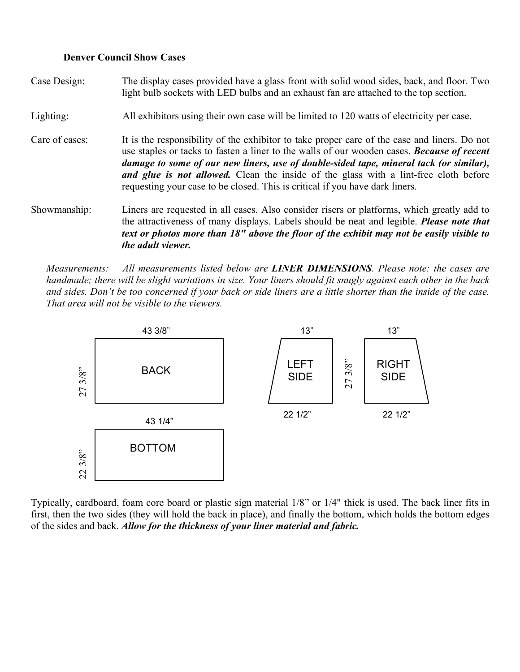### **Denver Council Show Cases**

*the adult viewer.* 

Case Design: The display cases provided have a glass front with solid wood sides, back, and floor. Two light bulb sockets with LED bulbs and an exhaust fan are attached to the top section. Lighting: All exhibitors using their own case will be limited to 120 watts of electricity per case. Care of cases: It is the responsibility of the exhibitor to take proper care of the case and liners. Do not use staples or tacks to fasten a liner to the walls of our wooden cases. *Because of recent damage to some of our new liners, use of double-sided tape, mineral tack (or similar), and glue is not allowed.* Clean the inside of the glass with a lint-free cloth before requesting your case to be closed. This is critical if you have dark liners. Showmanship: Liners are requested in all cases. Also consider risers or platforms, which greatly add to the attractiveness of many displays. Labels should be neat and legible. *Please note that text or photos more than 18" above the floor of the exhibit may not be easily visible to* 

*Measurements: All measurements listed below are LINER DIMENSIONS. Please note: the cases are handmade; there will be slight variations in size. Your liners should fit snugly against each other in the back and sides. Don't be too concerned if your back or side liners are a little shorter than the inside of the case. That area will not be visible to the viewers.* 



Typically, cardboard, foam core board or plastic sign material 1/8" or 1/4" thick is used. The back liner fits in first, then the two sides (they will hold the back in place), and finally the bottom, which holds the bottom edges